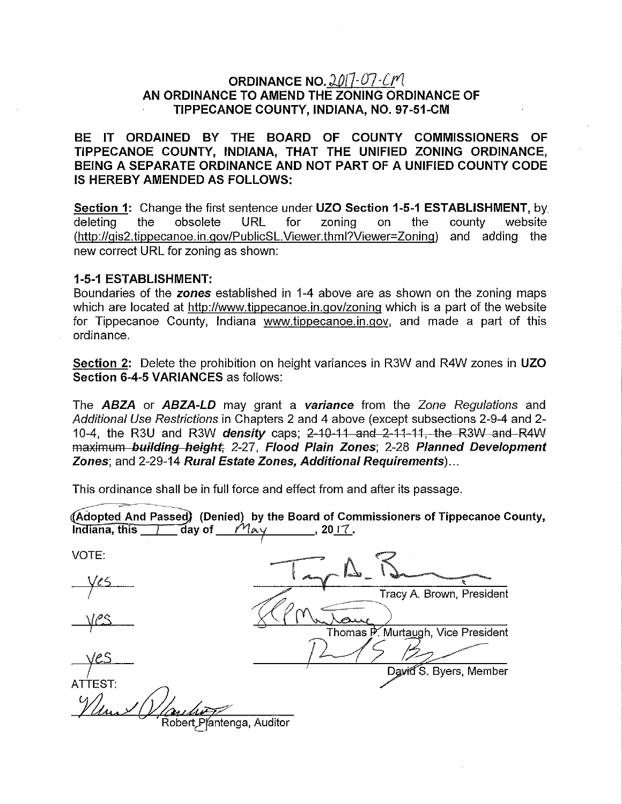## ORDINANCE NO.  $2017 - 07 - CN$ AN ORDINANCE TO AMEND THE ZONING ORDINANCE OF TIPPECANOE COUNTY, INDIANA, NO. 97-51-CM

BE IT ORDAINED BY THE BOARD OF COUNTY COMMISSIONERS OF TIPPECANOE COUNTY, INDIANA, THAT THE UNIFIED ZONING ORDINANCE, BEING A SEPARATE ORDINANCE AND NOT PART OF A UNIFIED COUNTY CODE IS HEREBY AMENDED AS FOLLOWS:

Section 1: Change the first sentence under UZO Section 1-5-1 ESTABLISHMENT, by deleting the obsolete URL for zoning on the (http://gis2.tippecanoe.in.gov/PublicSL.Viewer.thml?Viewer=Zoning) and adding the new correct URL for zoning as shown: county website

#### 1-5-1 ESTABLISHMENT:

Boundaries of the zones established in 1-4 above are as shown on the zoning maps which are located at http://www.tippecanoe.in.gov/zoning which is a part of the website for Tippecanoe County, Indiana www.tippecanoe.in.gov, and made a part of this ordinance.

Section 2: Delete the prohibition on height variances in R3W and R4W zones in UZO Section 6-4-5 VARIANCES as follows:

The ABZA or ABZA-LD may grant a variance from the Zone Regulations and Additional Use Restrictions in Chapters 2 and 4 above (except subsections 2-9-4 and 2- 10-4, the R3U and R3W **density** caps; 2-10-11 and 2-11-11, the R3W and R4W maximum building height; 2-27, Flood Plain Zones; 2-28 Planned Development Zones; and 2-29-14 Rural Estate Zones, Additional Requirements)...

This ordinance shall be in full force and effect from and after its passage.

| (Adopted And Passed) (Denied) by the Board of Commissioners of Tippecanoe County,<br>ัสลy of<br>Indiana, this<br>May<br>, 2017. |                           |
|---------------------------------------------------------------------------------------------------------------------------------|---------------------------|
| VOTE:                                                                                                                           |                           |
|                                                                                                                                 | Tracy A. Brown, President |
|                                                                                                                                 |                           |

Thomas P. Murtaugh, Vice President<br>David S. Byers, Member

**ATTEST:** 

obert Plantenga, Auditor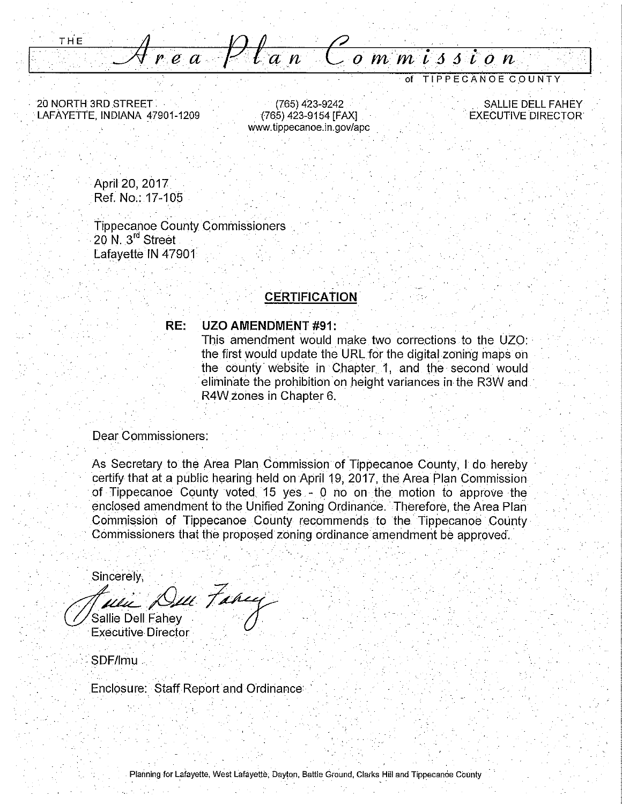**THE** <u>rea Plan Commission</u>

20 NORTH 3RD STREET LAFAYETTE, INDIANA 47901-1209

(765) 423-9242 . (765) 423-9154 [FAX] www.tippecanoe.in.gov/apc

. SALLIE DELL FAHEY . EXECUTIVE DIRECTOR

of TIPPECANOE COUNTY

April 20, 2017 Ref. No,: 17-105

Tippecanoe County Commissioners 20 N. 3<sup>rd</sup> Street Lafayette IN 47901

### **CERTIFICATION**

#### **RE: UZO AMENDMENT #91:**

This amendment would make two corrections to the UZO: the first would update the URL for the digital zoning maps on the county website in Chapter 1, and the second would eliminate the prohibition on height variances in the R3W and R4Wzones in Chapter 6.

Dear Commissioners:

As Secretary to the Area Plan Commission of Tippecanoe County, I do hereby certify that at a public hearing held on April 19, 2017, the Area Plan Commission of Tippecanoe County voted. 15 yes - 0 no on the motion to approve the enclosed amendment to the Unified Zoning Ordinance. Therefore, the Area Plan Commission of Tippecanoe County recommends to the. Tippecanoe County Commissioners that the proposed zoning ordinance amendment be approved.

Sincerely,  $\sqrt{2}$ . . */d.«.\_* /.-Y~ Sallie Dell Fahev Executive Director

SDF/lmu ...

.Enclosure: Staff Report and Ordinance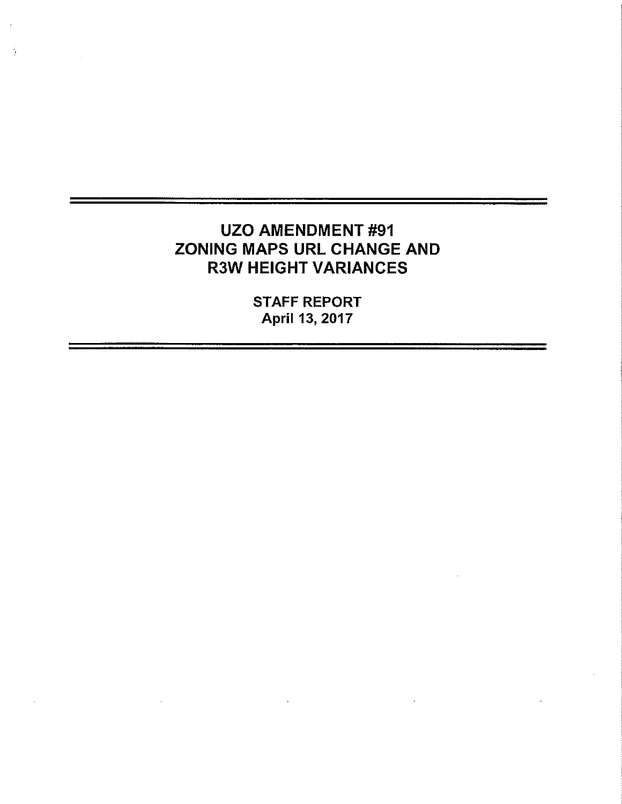# UZO AMENDMENT #91 ZONING MAPS URL CHANGE AND R3W HEIGHT VARIANCES

÷.

STAFF REPORT April 13, 2017

 $\sim$